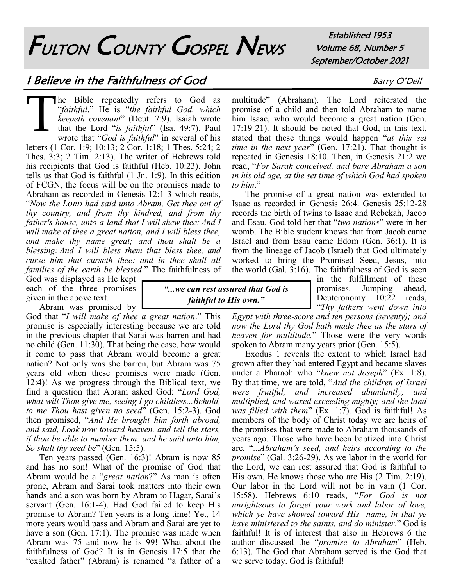# FULTON COUNTY GOSPEL NEWS

Established 1953 Volume 68, Number 5 September/October 2021

# I Believe in the Faithfulness of God Barry O'Dell

T The Bible repeatedly refers to God as "*faithful*." He is "*the faithful God, which keepeth covenant*" (Deut. 7:9). Isaiah wrote that the Lord "*is faithful*" (Isa. 49:7). Paul wrote that "*God is faithful*" in several of his letters (1 Cor. 1:9; 10:13; 2 Cor. 1:18; 1 Thes. 5:24; 2 Thes. 3:3; 2 Tim. 2:13). The writer of Hebrews told his recipients that God is faithful (Heb. 10:23). John tells us that God is faithful (1 Jn. 1:9). In this edition of FCGN, the focus will be on the promises made to Abraham as recorded in Genesis 12:1-3 which reads, "Now the LORD had said unto Abram, Get thee out of *thy country, and from thy kindred, and from thy father's house, unto a land that I will shew thee:And I will make of thee a great nation, and I will bless thee, and make thy name great; and thou shalt be a blessing: And I will bless them that bless thee, and curse him that curseth thee: and in thee shall all families of the earth be blessed*." The faithfulness of

God was displayed as He kept each of the three promises given in the above text.

Abram was promised by

God that "*I will make of thee a great nation*." This promise is especially interesting because we are told in the previous chapter that Sarai was barren and had no child (Gen. 11:30). That being the case, how would it come to pass that Abram would become a great nation? Not only was she barren, but Abram was 75 years old when these promises were made (Gen. 12:4)! As we progress through the Biblical text, we find a question that Abram asked God: "*Lord God, what wilt Thou give me, seeing I go childless...Behold, to me Thou hast given no seed*" (Gen. 15:2-3). God then promised, "*And He brought him forth abroad, and said, Look now toward heaven, and tell the stars, if thou be able to number them: and he said unto him, So shall thy seed be*" (Gen. 15:5).

Ten years passed (Gen. 16:3)! Abram is now 85 and has no son! What of the promise of God that Abram would be a "*great nation*?" As man is often prone, Abram and Sarai took matters into their own hands and a son was born by Abram to Hagar, Sarai's servant (Gen. 16:1-4). Had God failed to keep His promise to Abram? Ten years is a long time! Yet, 14 more years would pass and Abram and Sarai are yet to have a son (Gen. 17:1). The promise was made when Abram was 75 and now he is 99! What about the faithfulness of God? It is in Genesis 17:5 that the "exalted father" (Abram) is renamed "a father of a

multitude" (Abraham). The Lord reiterated the promise of a child and then told Abraham to name him Isaac, who would become a great nation (Gen. 17:19-21). It should be noted that God, in this text, stated that these things would happen "*at this set time in the next year*" (Gen. 17:21). That thought is repeated in Genesis 18:10. Then, in Genesis 21:2 we read, "*For Sarah conceived, and bare Abraham a son in his old age, at the set time of which God had spoken to him*."

The promise of a great nation was extended to Isaac as recorded in Genesis 26:4. Genesis 25:12-28 records the birth of twins to Isaac and Rebekah, Jacob and Esau. God told her that "*two nations*" were in her womb. The Bible student knows that from Jacob came Israel and from Esau came Edom (Gen. 36:1). It is from the lineage of Jacob (Israel) that God ultimately worked to bring the Promised Seed, Jesus, into the world (Gal. 3:16). The faithfulness of God is seen

in the fulfillment of these promises. Jumping ahead, Deuteronomy 10:22 reads, "*Thy fathers went down into* 

*Egypt with three-score and ten persons (seventy); and now the Lord thy God hath made thee as the stars of heaven for multitude.*" Those were the very words spoken to Abram many years prior (Gen. 15:5).

*"...we can rest assured that God is faithful to His own."*

> Exodus 1 reveals the extent to which Israel had grown after they had entered Egypt and became slaves under a Pharaoh who "*knew not Joseph*" (Ex. 1:8). By that time, we are told, "*And the children of Israel were fruitful, and increased abundantly, and multiplied, and waxed exceeding mighty; and the land was filled with them*" (Ex. 1:7). God is faithful! As members of the body of Christ today we are heirs of the promises that were made to Abraham thousands of years ago. Those who have been baptized into Christ are, "...*Abraham's seed, and heirs according to the promise*" (Gal. 3:26-29). As we labor in the world for the Lord, we can rest assured that God is faithful to His own. He knows those who are His (2 Tim. 2:19). Our labor in the Lord will not be in vain (1 Cor. 15:58). Hebrews 6:10 reads, "*For God is not unrighteous to forget your work and labor of love, which ye have showed toward His name, in that ye have ministered to the saints, and do minister*." God is faithful! It is of interest that also in Hebrews 6 the author discussed the "*promise to Abraham*" (Heb. 6:13). The God that Abraham served is the God that we serve today. God is faithful!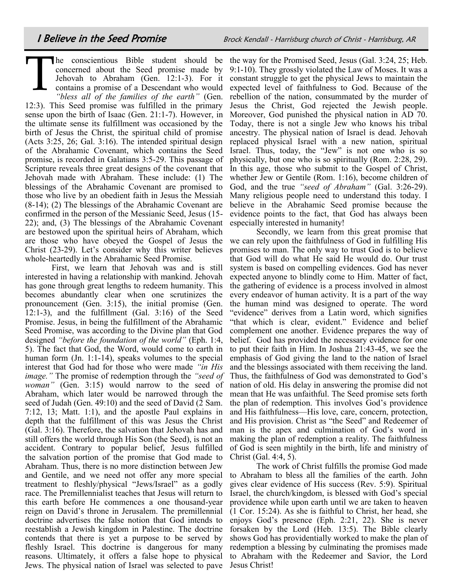$\prod$ concerned about the Seed promise made by contains a promise of a Descendant who would *"bless all of the families of the earth"* (Gen.

12:3). This Seed promise was fulfilled in the primary sense upon the birth of Isaac (Gen. 21:1-7). However, in the ultimate sense its fulfillment was occasioned by the birth of Jesus the Christ, the spiritual child of promise (Acts 3:25, 26; Gal. 3:16). The intended spiritual design of the Abrahamic Covenant, which contains the Seed promise, is recorded in Galatians 3:5-29. This passage of Scripture reveals three great designs of the covenant that Jehovah made with Abraham. These include: (1) The blessings of the Abrahamic Covenant are promised to those who live by an obedient faith in Jesus the Messiah (8-14); (2) The blessings of the Abrahamic Covenant are confirmed in the person of the Messianic Seed, Jesus (15- 22); and, (3) The blessings of the Abrahamic Covenant are bestowed upon the spiritual heirs of Abraham, which are those who have obeyed the Gospel of Jesus the Christ (23-29). Let's consider why this writer believes whole-heartedly in the Abrahamic Seed Promise.

First, we learn that Jehovah was and is still interested in having a relationship with mankind. Jehovah has gone through great lengths to redeem humanity. This becomes abundantly clear when one scrutinizes the pronouncement (Gen. 3:15), the initial promise (Gen. 12:1-3), and the fulfillment (Gal. 3:16) of the Seed Promise. Jesus, in being the fulfillment of the Abrahamic Seed Promise, was according to the Divine plan that God designed *"before the foundation of the world"* (Eph. 1:4, 5). The fact that God, the Word, would come to earth in human form (Jn. 1:1-14), speaks volumes to the special interest that God had for those who were made *"in His image."* The promise of redemption through the *"seed of woman*" (Gen. 3:15) would narrow to the seed of Abraham, which later would be narrowed through the seed of Judah (Gen. 49:10) and the seed of David (2 Sam. 7:12, 13; Matt. 1:1), and the apostle Paul explains in depth that the fulfillment of this was Jesus the Christ (Gal. 3:16). Therefore, the salvation that Jehovah has and still offers the world through His Son (the Seed), is not an accident. Contrary to popular belief, Jesus fulfilled the salvation portion of the promise that God made to Abraham. Thus, there is no more distinction between Jew and Gentile, and we need not offer any more special treatment to fleshly/physical "Jews/Israel" as a godly race. The Premillennialist teaches that Jesus will return to this earth before He commences a one thousand-year reign on David's throne in Jerusalem. The premillennial doctrine advertises the false notion that God intends to reestablish a Jewish kingdom in Palestine. The doctrine contends that there is yet a purpose to be served by fleshly Israel. This doctrine is dangerous for many reasons. Ultimately, it offers a false hope to physical Jews. The physical nation of Israel was selected to pave Jesus Christ!

he conscientious Bible student should be the way for the Promised Seed, Jesus (Gal. 3:24, 25; Heb. Jehovah to Abraham (Gen. 12:1-3). For it constant struggle to get the physical Jews to maintain the 9:1-10). They grossly violated the Law of Moses. It was a expected level of faithfulness to God. Because of the rebellion of the nation, consummated by the murder of Jesus the Christ, God rejected the Jewish people. Moreover, God punished the physical nation in AD 70. Today, there is not a single Jew who knows his tribal ancestry. The physical nation of Israel is dead. Jehovah replaced physical Israel with a new nation, spiritual Israel. Thus, today, the "Jew" is not one who is so physically, but one who is so spiritually (Rom. 2:28, 29). In this age, those who submit to the Gospel of Christ, whether Jew or Gentile (Rom. 1:16), become children of God, and the true *"seed of Abraham"* (Gal. 3:26-29). Many religious people need to understand this today. I believe in the Abrahamic Seed promise because the evidence points to the fact, that God has always been especially interested in humanity!

Secondly, we learn from this great promise that we can rely upon the faithfulness of God in fulfilling His promises to man. The only way to trust God is to believe that God will do what He said He would do. Our trust system is based on compelling evidences. God has never expected anyone to blindly come to Him. Matter of fact, the gathering of evidence is a process involved in almost every endeavor of human activity. It is a part of the way the human mind was designed to operate. The word "evidence" derives from a Latin word, which signifies "that which is clear, evident." Evidence and belief complement one another. Evidence prepares the way of belief. God has provided the necessary evidence for one to put their faith in Him. In Joshua 21:43-45, we see the emphasis of God giving the land to the nation of Israel and the blessings associated with them receiving the land. Thus, the faithfulness of God was demonstrated to God's nation of old. His delay in answering the promise did not mean that He was unfaithful. The Seed promise sets forth the plan of redemption. This involves God's providence and His faithfulness—His love, care, concern, protection, and His provision. Christ as "the Seed" and Redeemer of man is the apex and culmination of God's word in making the plan of redemption a reality. The faithfulness of God is seen mightily in the birth, life and ministry of Christ (Gal. 4:4, 5).

The work of Christ fulfills the promise God made to Abraham to bless all the families of the earth. John gives clear evidence of His success (Rev. 5:9). Spiritual Israel, the church/kingdom, is blessed with God's special providence while upon earth until we are taken to heaven (1 Cor. 15:24). As she is faithful to Christ, her head, she enjoys God's presence (Eph. 2:21, 22). She is never forsaken by the Lord (Heb. 13:5). The Bible clearly shows God has providentially worked to make the plan of redemption a blessing by culminating the promises made to Abraham with the Redeemer and Savior, the Lord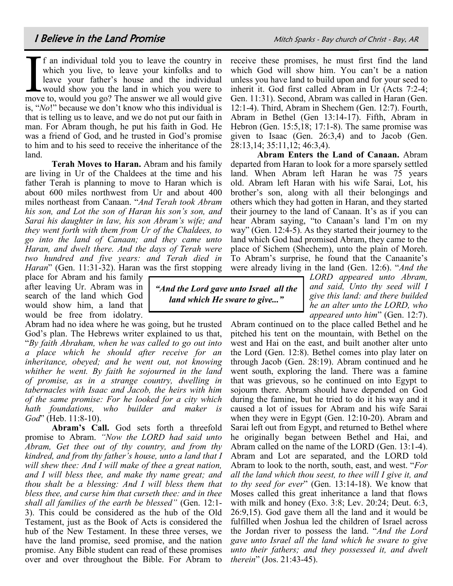If an individual told you to leave the country in which you live, to leave your kinfolks and to leave your father's house and the individual would show you the land in which you were to move to, would you go? The answer we f an individual told you to leave the country in which you live, to leave your kinfolks and to leave your father's house and the individual would show you the land in which you were to is, "*No*!" because we don't know who this individual is that is telling us to leave, and we do not put our faith in man. For Abram though, he put his faith in God. He was a friend of God, and he trusted in God's promise to him and to his seed to receive the inheritance of the land.

**Terah Moves to Haran.** Abram and his family are living in Ur of the Chaldees at the time and his father Terah is planning to move to Haran which is about 600 miles northwest from Ur and about 400 miles northeast from Canaan. "*And Terah took Abram his son, and Lot the son of Haran his son's son, and Sarai his daughter in law, his son Abram's wife; and they went forth with them from Ur of the Chaldees, to go into the land of Canaan; and they came unto Haran, and dwelt there. And the days of Terah were two hundred and five years: and Terah died in Haran*" (Gen. 11:31-32). Haran was the first stopping

> *"And the Lord gave unto Israel all the land which He sware to give..."*

place for Abram and his family after leaving Ur. Abram was in search of the land which God would show him, a land that would be free from idolatry.

Abram had no idea where he was going, but he trusted God's plan. The Hebrews writer explained to us that, "*By faith Abraham, when he was called to go out into a place which he should after receive for an inheritance, obeyed; and he went out, not knowing whither he went. By faith he sojourned in the land of promise, as in a strange country, dwelling in tabernacles with Isaac and Jacob, the heirs with him of the same promise: For he looked for a city which hath foundations, who builder and maker is God*" (Heb. 11:8-10).

**Abram's Call.** God sets forth a threefold promise to Abram. *"Now the LORD had said unto Abram, Get thee out of thy country, and from thy kindred, and from thy father's house, unto a land that I will shew thee: And I will make of thee a great nation, and I will bless thee, and make thy name great; and thou shalt be a blessing: And I will bless them that bless thee, and curse him that curseth thee: and in thee shall all families of the earth be blessed"* (Gen. 12:1- 3). This could be considered as the hub of the Old Testament, just as the Book of Acts is considered the hub of the New Testament. In these three verses, we have the land promise, seed promise, and the nation promise. Any Bible student can read of these promises over and over throughout the Bible. For Abram to

receive these promises, he must first find the land which God will show him. You can't be a nation unless you have land to build upon and for your seed to inherit it. God first called Abram in Ur (Acts 7:2-4; Gen. 11:31). Second, Abram was called in Haran (Gen. 12:1-4). Third, Abram in Shechem (Gen. 12:7). Fourth, Abram in Bethel (Gen 13:14-17). Fifth, Abram in Hebron (Gen. 15:5,18; 17:1-8). The same promise was given to Isaac (Gen. 26:3,4) and to Jacob (Gen. 28:13,14; 35:11,12; 46:3,4).

**Abram Enters the Land of Canaan.** Abram departed from Haran to look for a more sparsely settled land. When Abram left Haran he was 75 years old. Abram left Haran with his wife Sarai, Lot, his brother's son, along with all their belongings and others which they had gotten in Haran, and they started their journey to the land of Canaan. It's as if you can hear Abram saying, "to Canaan's land I'm on my way" (Gen. 12:4-5). As they started their journey to the land which God had promised Abram, they came to the place of Sichem (Shechem), unto the plain of Moreh. To Abram's surprise, he found that the Canaanite's were already living in the land (Gen. 12:6). "*And the* 

> *LORD appeared unto Abram, and said, Unto thy seed will I give this land: and there builded he an alter unto the LORD, who appeared unto him*" (Gen. 12:7).

Abram continued on to the place called Bethel and he pitched his tent on the mountain, with Bethel on the west and Hai on the east, and built another alter unto the Lord (Gen. 12:8). Bethel comes into play later on through Jacob (Gen. 28:19). Abram continued and he went south, exploring the land. There was a famine that was grievous, so he continued on into Egypt to sojourn there. Abram should have depended on God during the famine, but he tried to do it his way and it caused a lot of issues for Abram and his wife Sarai when they were in Egypt (Gen. 12:10-20). Abram and Sarai left out from Egypt, and returned to Bethel where he originally began between Bethel and Hai, and Abram called on the name of the LORD (Gen. 13:1-4). Abram and Lot are separated, and the LORD told Abram to look to the north, south, east, and west. "*For all the land which thou seest, to thee will I give it, and to thy seed for ever*" (Gen. 13:14-18). We know that Moses called this great inheritance a land that flows with milk and honey (Exo. 3:8; Lev. 20:24; Deut. 6:3, 26:9,15). God gave them all the land and it would be fulfilled when Joshua led the children of Israel across the Jordan river to possess the land. "*And the Lord gave unto Israel all the land which he sware to give unto their fathers; and they possessed it, and dwelt therein*" (Jos. 21:43-45).